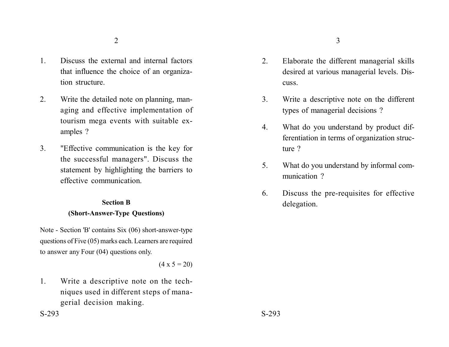- 1. Discuss the external and internal factors that influence the choice of an organization structure.
- 2. Write the detailed note on planning, managing and effective implementation of tourism mega events with suitable examples ?
- 3. "Effective communication is the key for the successful managers". Discuss the statement by highlighting the barriers to effective communication.

# **Section B (Short-Answer-Type Questions)**

Note - Section 'B' contains Six (06) short-answer-type questions of Five (05) marks each. Learners are required to answer any Four (04) questions only.

 $(4 \times 5 = 20)$ 

1. Write a descriptive note on the techniques used in different steps of managerial decision making.

- 2. Elaborate the different managerial skills desired at various managerial levels. Discuss.
- 3. Write a descriptive note on the different types of managerial decisions ?
- 4. What do you understand by product differentiation in terms of organization structure ?
- 5. What do you understand by informal communication ?
- 6. Discuss the pre-requisites for effective delegation.